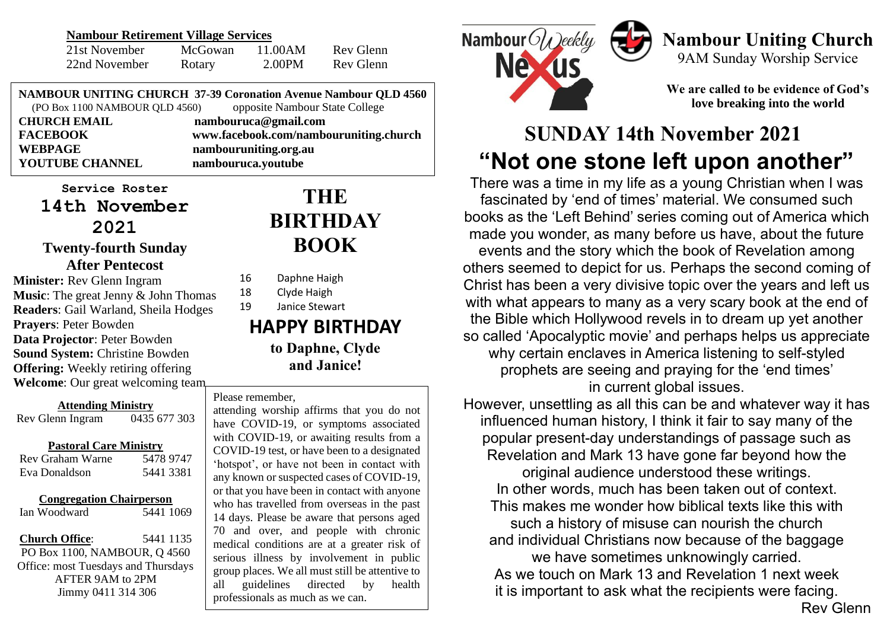#### **Nambour Retirement Village Services**

| 21st November | McGowan | 11.00AM | Rev Glenn |
|---------------|---------|---------|-----------|
| 22nd November | Rotary  | 2.00PM  | Rev Glenn |

**NAMBOUR UNITING CHURCH 37-39 Coronation Avenue Nambour QLD 4560** (PO Box 1100 NAMBOUR QLD 4560) opposite Nambour State College

**YOUTUBE CHANNEL nambouruca.youtube**

**CHURCH EMAIL nambouruca@gmail.com FACEBOOK www.facebook.com/nambouruniting.church WEBPAGE nambouruniting.org.au**

**Service Roster 14th November 2021 Twenty-fourth Sunday After Pentecost**

**Minister:** Rev Glenn Ingram **Music**: The great Jenny & John Thomas **Readers**: Gail Warland, Sheila Hodges **Prayers**: Peter Bowden **Data Projector**: Peter Bowden **Sound System:** Christine Bowden **Offering:** Weekly retiring offering **Welcome**: Our great welcoming team

**Attending Ministry** Rev Glenn Ingram 0435 677 303

#### **Pastoral Care Ministry**

| Rev Graham Warne | 5478 9747 |
|------------------|-----------|
| Eva Donaldson    | 5441 3381 |

#### **Congregation Chairperson**

Ian Woodward 5441 1069

**Church Office**: 5441 1135 PO Box 1100, NAMBOUR, Q 4560 Office: most Tuesdays and Thursdays AFTER 9AM to 2PM Jimmy 0411 314 306

# **THE BIRTHDAY BOOK**

- 16 Daphne Haigh
- 18 Clyde Haigh 19 Janice Stewart

**HAPPY BIRTHDAY to Daphne, Clyde and Janice!**

#### Please remember,

motspot, or have not been in contact with<br>any known or suspected cases of COVID-19, or that you have been in contact with anyone<br>who has travelled from overcase in the next attending worship affirms that you do not have COVID-19, or symptoms associated with COVID-19, or awaiting results from a COVID-19 test, or have been to a designated 'hotspot', or have not been in contact with who has travelled from overseas in the past 14 days. Please be aware that persons aged 70 and over, and people with chronic medical conditions are at a greater risk of serious illness by involvement in public group places. We all must still be attentive to all guidelines directed by health professionals as much as we can.



# **Nambour Uniting Church**

9AM Sunday Worship Service

**We are called to be evidence of God's love breaking into the world**

# **SUNDAY 14th November 2021 "Not one stone left upon another"**

There was a time in my life as a young Christian when I was fascinated by 'end of times' material. We consumed such books as the 'Left Behind' series coming out of America which made you wonder, as many before us have, about the future events and the story which the book of Revelation among others seemed to depict for us. Perhaps the second coming of Christ has been a very divisive topic over the years and left us with what appears to many as a very scary book at the end of the Bible which Hollywood revels in to dream up yet another so called 'Apocalyptic movie' and perhaps helps us appreciate why certain enclaves in America listening to self-styled prophets are seeing and praying for the 'end times' in current global issues.

However, unsettling as all this can be and whatever way it has influenced human history, I think it fair to say many of the popular present-day understandings of passage such as Revelation and Mark 13 have gone far beyond how the original audience understood these writings. In other words, much has been taken out of context. This makes me wonder how biblical texts like this with such a history of misuse can nourish the church and individual Christians now because of the baggage we have sometimes unknowingly carried. As we touch on Mark 13 and Revelation 1 next week it is important to ask what the recipients were facing.

#### Rev Glenn